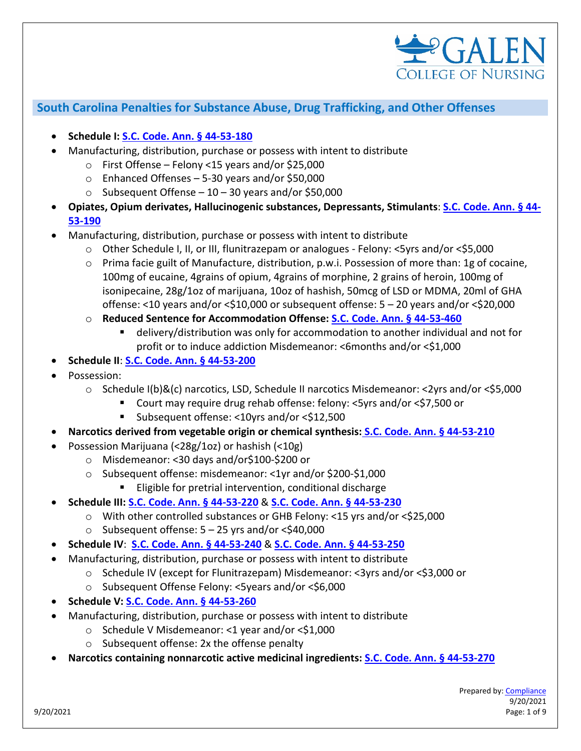

# **South Carolina Penalties for Substance Abuse, Drug Trafficking, and Other Offenses**

- **Schedule I: [S.C. Code. Ann. § 44-53-180](https://www.scstatehouse.gov/code/t44c053.php)**
- Manufacturing, distribution, purchase or possess with intent to distribute
	- o First Offense Felony <15 years and/or \$25,000
	- o Enhanced Offenses 5-30 years and/or \$50,000
	- $\circ$  Subsequent Offense 10 30 years and/or \$50,000
- **Opiates, Opium derivates, Hallucinogenic substances, Depressants, Stimulants**: **[S.C. Code. Ann. § 44-](https://www.scstatehouse.gov/code/t44c053.php) [53-190](https://www.scstatehouse.gov/code/t44c053.php)**
- Manufacturing, distribution, purchase or possess with intent to distribute
	- o Other Schedule I, II, or III, flunitrazepam or analogues Felony: <5yrs and/or <\$5,000
	- o Prima facie guilt of Manufacture, distribution, p.w.i. Possession of more than: 1g of cocaine, 100mg of eucaine, 4grains of opium, 4grains of morphine, 2 grains of heroin, 100mg of isonipecaine, 28g/1oz of marijuana, 10oz of hashish, 50mcg of LSD or MDMA, 20ml of GHA offense:  $\leq$ 10 years and/or  $\leq$ 10,000 or subsequent offense: 5 – 20 years and/or  $\leq$ 20,000
	- o **Reduced Sentence for Accommodation Offense: [S.C. Code. Ann. § 44-53-460](https://www.scstatehouse.gov/code/t44c053.php)**
		- delivery/distribution was only for accommodation to another individual and not for profit or to induce addiction Misdemeanor: <6months and/or <\$1,000
- **Schedule II**: **[S.C. Code. Ann. § 44-53-200](https://www.scstatehouse.gov/code/t44c053.php)**
- Possession:
	- o Schedule I(b)&(c) narcotics, LSD, Schedule II narcotics Misdemeanor: <2yrs and/or <\$5,000
		- Court may require drug rehab offense: felony: <5yrs and/or <\$7,500 or
		- Subsequent offense: <10yrs and/or <\$12,500
- **Narcotics derived from vegetable origin or chemical synthesis: [S.C. Code. Ann. § 44-53-210](https://www.scstatehouse.gov/code/t44c053.php)**
- Possession Marijuana (<28g/1oz) or hashish (<10g)
	- o Misdemeanor: <30 days and/or\$100-\$200 or
	- o Subsequent offense: misdemeanor: <1yr and/or \$200-\$1,000
		- **Eligible for pretrial intervention, conditional discharge**
- **Schedule III: [S.C. Code. Ann. § 44-53-220](https://www.scstatehouse.gov/code/t44c053.php)** & **[S.C. Code. Ann. § 44-53-230](https://www.scstatehouse.gov/code/t44c053.php)**
	- o With other controlled substances or GHB Felony: <15 yrs and/or <\$25,000
	- $\circ$  Subsequent offense:  $5 25$  yrs and/or <\$40,000
	- **Schedule IV**: **[S.C. Code. Ann. § 44-53-240](https://www.scstatehouse.gov/code/t44c053.php)** & **[S.C. Code. Ann. § 44-53-250](https://www.scstatehouse.gov/code/t44c053.php)**
- Manufacturing, distribution, purchase or possess with intent to distribute
	- o Schedule IV (except for Flunitrazepam) Misdemeanor: <3yrs and/or <\$3,000 or
	- o Subsequent Offense Felony: <5years and/or <\$6,000
- **Schedule V: [S.C. Code. Ann. § 44-53-260](https://www.scstatehouse.gov/code/t44c053.php)**
- Manufacturing, distribution, purchase or possess with intent to distribute
	- o Schedule V Misdemeanor: <1 year and/or <\$1,000
	- o Subsequent offense: 2x the offense penalty
- **Narcotics containing nonnarcotic active medicinal ingredients: [S.C. Code. Ann. § 44-53-270](https://www.scstatehouse.gov/code/t44c053.php)**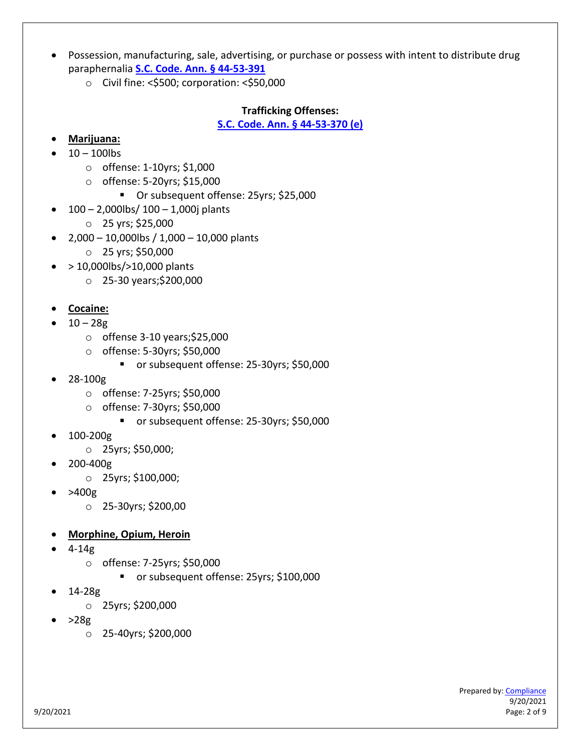- Possession, manufacturing, sale, advertising, or purchase or possess with intent to distribute drug paraphernalia **[S.C. Code. Ann. § 44-53-391](https://www.scstatehouse.gov/code/t44c053.php)**
	- o Civil fine: <\$500; corporation: <\$50,000

#### **Trafficking Offenses:**

**[S.C. Code. Ann. § 44-53-370 \(e\)](https://www.scstatehouse.gov/code/t44c053.php)**

- **Marijuana:**
- $10 100$ lbs
	- o offense: 1-10yrs; \$1,000
	- o offense: 5-20yrs; \$15,000
		- Or subsequent offense: 25yrs; \$25,000
- 100 2,000lbs/ 100 1,000j plants
	- o 25 yrs; \$25,000
- 2,000 10,000lbs / 1,000 10,000 plants
	- o 25 yrs; \$50,000
- > 10,000lbs/>10,000 plants
	- o 25-30 years;\$200,000
- **Cocaine:**
- $10 28g$ 
	- o offense 3-10 years;\$25,000
	- o offense: 5-30yrs; \$50,000
		- or subsequent offense: 25-30yrs; \$50,000
- 28-100g
	- o offense: 7-25yrs; \$50,000
	- o offense: 7-30yrs; \$50,000
		- or subsequent offense: 25-30yrs; \$50,000
- 100-200g
	- o 25yrs; \$50,000;
- 200-400g
	- o 25yrs; \$100,000;
- >400g
	- o 25-30yrs; \$200,00
- **Morphine, Opium, Heroin**
- 4-14g
	- o offense: 7-25yrs; \$50,000
		- or subsequent offense: 25yrs; \$100,000
- 14-28g
	- o 25yrs; \$200,000
- $>28g$ 
	- o 25-40yrs; \$200,000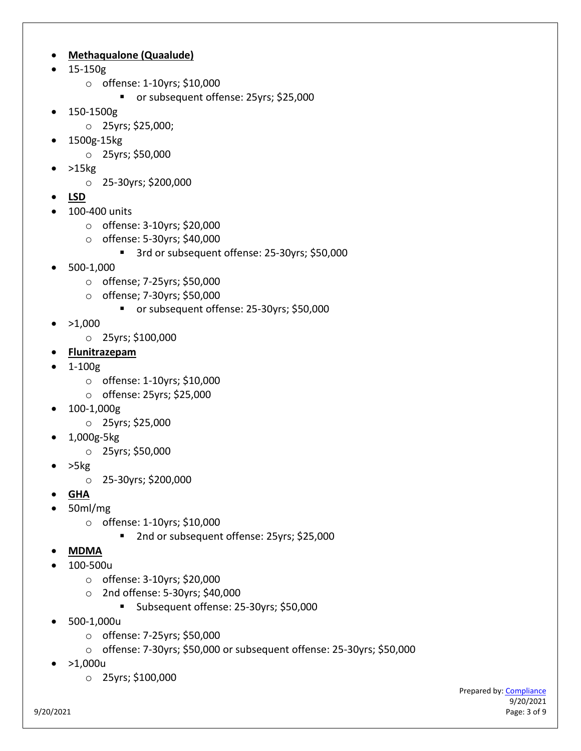### • **Methaqualone (Quaalude)**

- 15-150g
	- o offense: 1-10yrs; \$10,000
		- or subsequent offense: 25yrs; \$25,000
- 150-1500g
	- o 25yrs; \$25,000;
- 1500g-15kg
	- o 25yrs; \$50,000
- $\bullet$  >15 $kg$ 
	- o 25-30yrs; \$200,000
- **LSD**
- 100-400 units
	- o offense: 3-10yrs; \$20,000
	- o offense: 5-30yrs; \$40,000
		- <sup>3</sup> 3rd or subsequent offense: 25-30yrs; \$50,000
- 500-1,000
	- o offense; 7-25yrs; \$50,000
	- o offense; 7-30yrs; \$50,000
		- or subsequent offense: 25-30yrs; \$50,000
- $>1,000$ 
	- o 25yrs; \$100,000
- **Flunitrazepam**
- 1-100g
	- o offense: 1-10yrs; \$10,000
	- o offense: 25yrs; \$25,000
- 100-1,000g
	- o 25yrs; \$25,000
- 1,000g-5kg
	- o 25yrs; \$50,000
- $>$ 5 $kg$ 
	- o 25-30yrs; \$200,000
- **GHA**
- 50ml/mg
	- o offense: 1-10yrs; \$10,000
		- 2nd or subsequent offense: 25yrs; \$25,000
- **MDMA**
- 100-500u
	- o offense: 3-10yrs; \$20,000
	- o 2nd offense: 5-30yrs; \$40,000
		- Subsequent offense: 25-30yrs; \$50,000
- 500-1,000u
	- o offense: 7-25yrs; \$50,000
	- o offense: 7-30yrs; \$50,000 or subsequent offense: 25-30yrs; \$50,000
- >1,000u
	- o 25yrs; \$100,000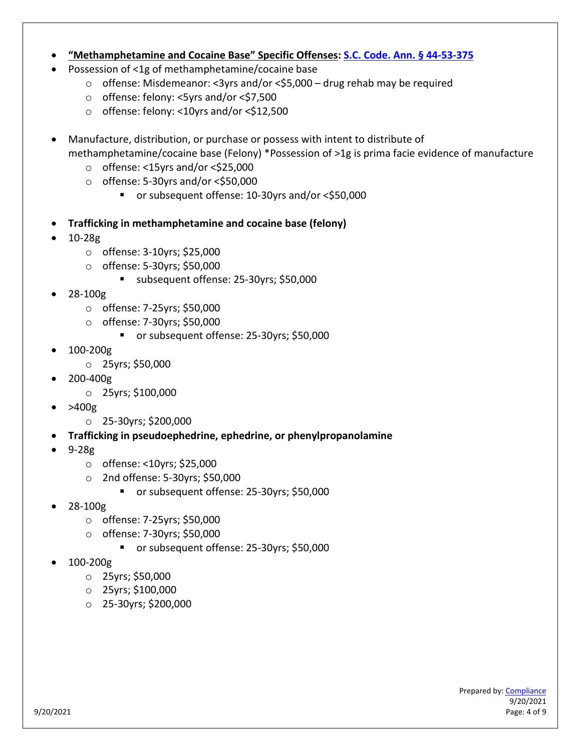#### • **"Methamphetamine and Cocaine Base" Specific Offenses: [S.C. Code. Ann. § 44-53-375](https://www.scstatehouse.gov/code/t44c053.php)**

- Possession of <1g of methamphetamine/cocaine base
	- o offense: Misdemeanor: <3yrs and/or <\$5,000 drug rehab may be required
	- o offense: felony: <5yrs and/or <\$7,500
	- o offense: felony: <10yrs and/or <\$12,500
- Manufacture, distribution, or purchase or possess with intent to distribute of
	- methamphetamine/cocaine base (Felony) \*Possession of >1g is prima facie evidence of manufacture
		- $\circ$  offense: <15yrs and/or <\$25,000
		- $\circ$  offense: 5-30yrs and/or <\$50,000
			- or subsequent offense: 10-30yrs and/or <\$50,000
- **Trafficking in methamphetamine and cocaine base (felony)**
- 10-28g
	- o offense: 3-10yrs; \$25,000
	- o offense: 5-30yrs; \$50,000
		- subsequent offense: 25-30yrs; \$50,000
- 28-100g
	- o offense: 7-25yrs; \$50,000
	- o offense: 7-30yrs; \$50,000
		- or subsequent offense: 25-30yrs; \$50,000
- 100-200g
	- o 25yrs; \$50,000
- 200-400g
	- o 25yrs; \$100,000
- $>400g$ 
	- o 25-30yrs; \$200,000
- **Trafficking in pseudoephedrine, ephedrine, or phenylpropanolamine**
- 9-28g
	- o offense: <10yrs; \$25,000
	- o 2nd offense: 5-30yrs; \$50,000
		- or subsequent offense: 25-30yrs; \$50,000
- 28-100g
	- o offense: 7-25yrs; \$50,000
	- o offense: 7-30yrs; \$50,000
		- or subsequent offense: 25-30yrs; \$50,000
- 100-200g
	- o 25yrs; \$50,000
	- o 25yrs; \$100,000
	- o 25-30yrs; \$200,000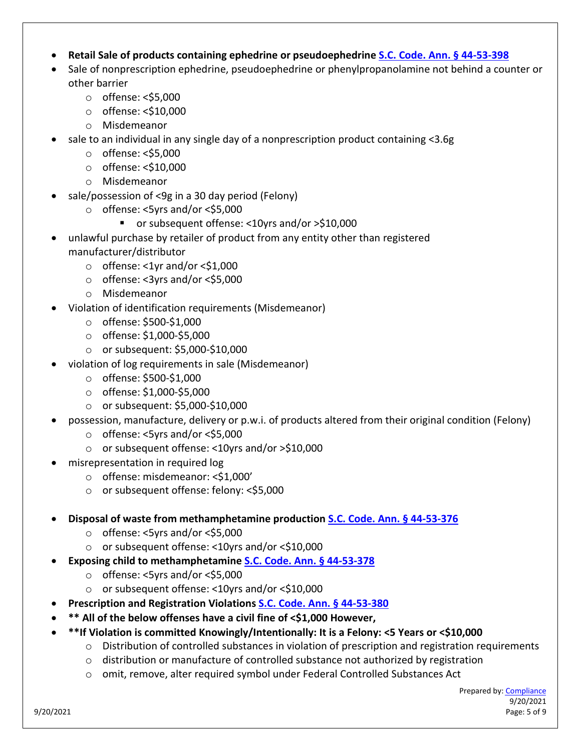### • **Retail Sale of products containing ephedrine or pseudoephedrine [S.C. Code. Ann. § 44-53-398](https://www.scstatehouse.gov/code/t44c053.php)**

- Sale of nonprescription ephedrine, pseudoephedrine or phenylpropanolamine not behind a counter or other barrier
	- o offense: <\$5,000
	- o offense: <\$10,000
	- o Misdemeanor
- sale to an individual in any single day of a nonprescription product containing <3.6g
	- o offense: <\$5,000
	- o offense: <\$10,000
	- o Misdemeanor
- sale/possession of <9g in a 30 day period (Felony)
	- o offense: <5yrs and/or <\$5,000
		- or subsequent offense: <10yrs and/or >\$10,000
- unlawful purchase by retailer of product from any entity other than registered manufacturer/distributor
	- $\circ$  offense: <1yr and/or <\$1,000
	- o offense: <3yrs and/or <\$5,000
	- o Misdemeanor
- Violation of identification requirements (Misdemeanor)
	- o offense: \$500-\$1,000
	- o offense: \$1,000-\$5,000
	- o or subsequent: \$5,000-\$10,000
- violation of log requirements in sale (Misdemeanor)
	- o offense: \$500-\$1,000
	- o offense: \$1,000-\$5,000
	- o or subsequent: \$5,000-\$10,000
- possession, manufacture, delivery or p.w.i. of products altered from their original condition (Felony)
	- o offense: <5yrs and/or <\$5,000
	- o or subsequent offense: <10yrs and/or >\$10,000
	- misrepresentation in required log
		- o offense: misdemeanor: <\$1,000'
		- o or subsequent offense: felony: <\$5,000
- **Disposal of waste from methamphetamine production [S.C. Code. Ann. § 44-53-376](https://www.scstatehouse.gov/code/t44c053.php)**
	- o offense: <5yrs and/or <\$5,000
	- o or subsequent offense: <10yrs and/or <\$10,000
- **Exposing child to methamphetamine [S.C. Code. Ann. § 44-53-378](https://www.scstatehouse.gov/code/t44c053.php)**
	- o offense: <5yrs and/or <\$5,000
	- o or subsequent offense: <10yrs and/or <\$10,000
- **Prescription and Registration Violations [S.C. Code. Ann. § 44-53-380](https://www.scstatehouse.gov/code/t44c053.php)**
- **\*\* All of the below offenses have a civil fine of <\$1,000 However,** 
	- **\*\*If Violation is committed Knowingly/Intentionally: It is a Felony: <5 Years or <\$10,000**
		- o Distribution of controlled substances in violation of prescription and registration requirements
		- $\circ$  distribution or manufacture of controlled substance not authorized by registration
		- $\circ$  omit, remove, alter required symbol under Federal Controlled Substances Act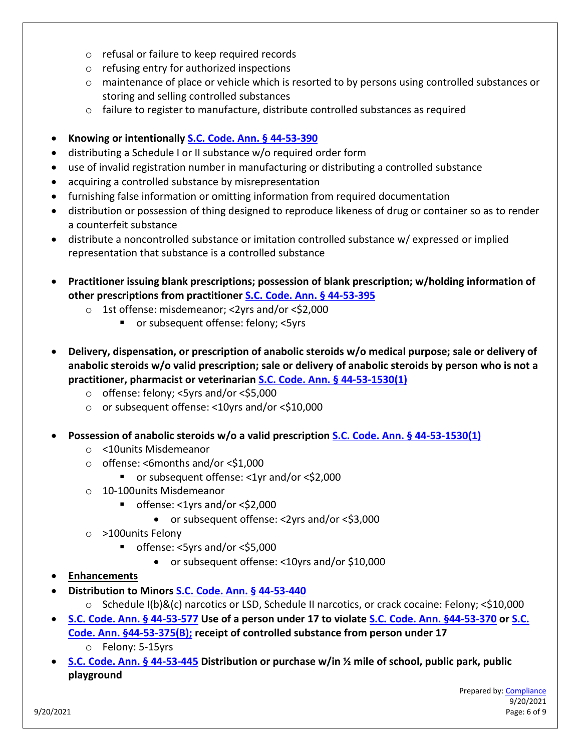- o refusal or failure to keep required records
- o refusing entry for authorized inspections
- o maintenance of place or vehicle which is resorted to by persons using controlled substances or storing and selling controlled substances
- $\circ$  failure to register to manufacture, distribute controlled substances as required
- **Knowing or intentionally [S.C. Code. Ann. § 44-53-390](https://www.scstatehouse.gov/code/t44c053.php)**
- distributing a Schedule I or II substance w/o required order form
- use of invalid registration number in manufacturing or distributing a controlled substance
- acquiring a controlled substance by misrepresentation
- furnishing false information or omitting information from required documentation
- distribution or possession of thing designed to reproduce likeness of drug or container so as to render a counterfeit substance
- distribute a noncontrolled substance or imitation controlled substance w/ expressed or implied representation that substance is a controlled substance
- **Practitioner issuing blank prescriptions; possession of blank prescription; w/holding information of other prescriptions from practitioner [S.C. Code. Ann. § 44-53-395](https://www.scstatehouse.gov/code/t44c053.php)**
	- o 1st offense: misdemeanor; <2yrs and/or <\$2,000
		- or subsequent offense: felony; <5yrs
- **Delivery, dispensation, or prescription of anabolic steroids w/o medical purpose; sale or delivery of anabolic steroids w/o valid prescription; sale or delivery of anabolic steroids by person who is not a practitioner, pharmacist or veterinarian [S.C. Code. Ann. § 44-53-1530\(1\)](https://www.scstatehouse.gov/code/t44c053.php)**
	- o offense: felony; <5yrs and/or <\$5,000
	- o or subsequent offense: <10yrs and/or <\$10,000
- **Possession of anabolic steroids w/o a valid prescription [S.C. Code. Ann. § 44-53-1530\(1\)](https://www.scstatehouse.gov/code/t44c053.php)**
	- o <10units Misdemeanor
	- o offense: <6months and/or <\$1,000
		- or subsequent offense: <1yr and/or <\$2,000
	- o 10-100units Misdemeanor
		- $\blacksquare$  offense: <1yrs and/or <\$2,000
			- or subsequent offense: <2yrs and/or <\$3,000
	- o >100units Felony
		- offense: <5yrs and/or <\$5,000
			- or subsequent offense: <10yrs and/or \$10,000
- **Enhancements**
- **Distribution to Minors [S.C. Code. Ann. § 44-53-440](https://www.scstatehouse.gov/code/t44c053.php)**
	- o Schedule I(b)&(c) narcotics or LSD, Schedule II narcotics, or crack cocaine: Felony; <\$10,000
- **[S.C. Code. Ann. § 44-53-577](https://www.scstatehouse.gov/code/t44c053.php) Use of a person under 17 to violate [S.C. Code. Ann. §44-53-370](https://www.scstatehouse.gov/code/t44c053.php) o[r S.C.](https://www.scstatehouse.gov/code/t44c053.php)  [Code. Ann. §44-53-375\(B\);](https://www.scstatehouse.gov/code/t44c053.php) receipt of controlled substance from person under 17**
	- o Felony: 5-15yrs
- **[S.C. Code. Ann. § 44-53-445](https://www.scstatehouse.gov/code/t44c053.php) Distribution or purchase w/in ½ mile of school, public park, public playground**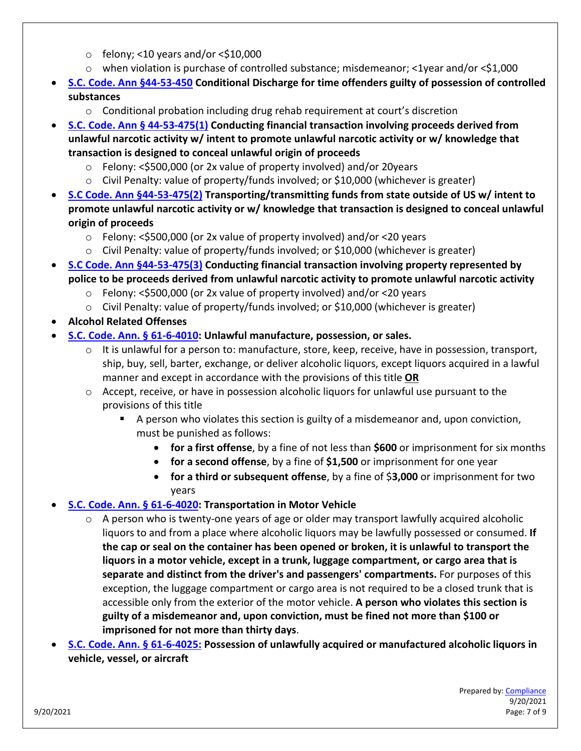- $\circ$  felony; <10 years and/or <\$10,000
- $\circ$  when violation is purchase of controlled substance; misdemeanor; <1year and/or <\$1,000
- **S.C. Code. Ann §44-53-450 Conditional Discharge for time offenders guilty of possession of controlled substances**
	- $\circ$  Conditional probation including drug rehab requirement at court's discretion
- **[S.C. Code. Ann § 44-53-475\(1\)](https://www.scstatehouse.gov/code/t44c053.php) Conducting financial transaction involving proceeds derived from unlawful narcotic activity w/ intent to promote unlawful narcotic activity or w/ knowledge that transaction is designed to conceal unlawful origin of proceeds**
	- o Felony: <\$500,000 (or 2x value of property involved) and/or 20years
	- o Civil Penalty: value of property/funds involved; or \$10,000 (whichever is greater)
- **[S.C Code. Ann §44-53-475\(2\)](https://www.scstatehouse.gov/code/t44c053.php) Transporting/transmitting funds from state outside of US w/ intent to promote unlawful narcotic activity or w/ knowledge that transaction is designed to conceal unlawful origin of proceeds**
	- $\circ$  Felony: <\$500,000 (or 2x value of property involved) and/or <20 years
	- $\circ$  Civil Penalty: value of property/funds involved; or \$10,000 (whichever is greater)
- **[S.C Code. Ann §44-53-475\(3\)](https://www.scstatehouse.gov/code/t44c053.php) Conducting financial transaction involving property represented by police to be proceeds derived from unlawful narcotic activity to promote unlawful narcotic activity**
	- o Felony: <\$500,000 (or 2x value of property involved) and/or <20 years
	- o Civil Penalty: value of property/funds involved; or \$10,000 (whichever is greater)
- **Alcohol Related Offenses**
- **[S.C. Code. Ann. § 61-6-4010:](https://www.scstatehouse.gov/code/t61c006.php) Unlawful manufacture, possession, or sales.**
	- $\circ$  It is unlawful for a person to: manufacture, store, keep, receive, have in possession, transport, ship, buy, sell, barter, exchange, or deliver alcoholic liquors, except liquors acquired in a lawful manner and except in accordance with the provisions of this title **OR**
	- $\circ$  Accept, receive, or have in possession alcoholic liquors for unlawful use pursuant to the provisions of this title
		- A person who violates this section is guilty of a misdemeanor and, upon conviction, must be punished as follows:
			- **for a first offense**, by a fine of not less than **\$600** or imprisonment for six months
			- **for a second offense**, by a fine of **\$1,500** or imprisonment for one year
			- **for a third or subsequent offense**, by a fine of \$**3,000** or imprisonment for two years

## • **[S.C. Code. Ann. § 61-6-4020:](https://www.scstatehouse.gov/code/t61c006.php) Transportation in Motor Vehicle**

- $\circ$  A person who is twenty-one years of age or older may transport lawfully acquired alcoholic liquors to and from a place where alcoholic liquors may be lawfully possessed or consumed. **If the cap or seal on the container has been opened or broken, it is unlawful to transport the liquors in a motor vehicle, except in a trunk, luggage compartment, or cargo area that is separate and distinct from the driver's and passengers' compartments.** For purposes of this exception, the luggage compartment or cargo area is not required to be a closed trunk that is accessible only from the exterior of the motor vehicle. **A person who violates this section is guilty of a misdemeanor and, upon conviction, must be fined not more than \$100 or imprisoned for not more than thirty days**.
- **[S.C. Code. Ann. § 61-6-4025:](https://www.scstatehouse.gov/code/t61c006.php) Possession of unlawfully acquired or manufactured alcoholic liquors in vehicle, vessel, or aircraft**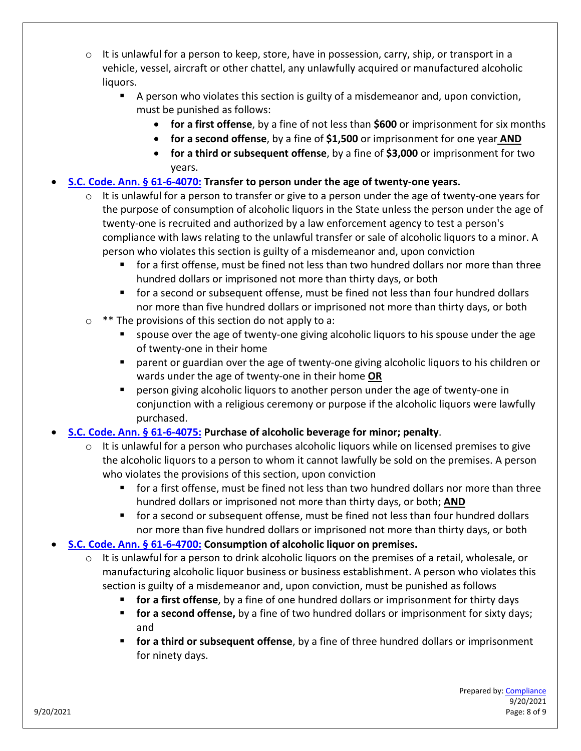- $\circ$  It is unlawful for a person to keep, store, have in possession, carry, ship, or transport in a vehicle, vessel, aircraft or other chattel, any unlawfully acquired or manufactured alcoholic liquors.
	- A person who violates this section is guilty of a misdemeanor and, upon conviction, must be punished as follows:
		- **for a first offense**, by a fine of not less than **\$600** or imprisonment for six months
		- **for a second offense**, by a fine of **\$1,500** or imprisonment for one year **AND**
		- **for a third or subsequent offense**, by a fine of **\$3,000** or imprisonment for two years.

## • **[S.C. Code. Ann. § 61-6-4070:](https://www.scstatehouse.gov/code/t61c006.php) Transfer to person under the age of twenty-one years.**

- $\circ$  It is unlawful for a person to transfer or give to a person under the age of twenty-one years for the purpose of consumption of alcoholic liquors in the State unless the person under the age of twenty-one is recruited and authorized by a law enforcement agency to test a person's compliance with laws relating to the unlawful transfer or sale of alcoholic liquors to a minor. A person who violates this section is guilty of a misdemeanor and, upon conviction
	- for a first offense, must be fined not less than two hundred dollars nor more than three hundred dollars or imprisoned not more than thirty days, or both
	- for a second or subsequent offense, must be fined not less than four hundred dollars nor more than five hundred dollars or imprisoned not more than thirty days, or both
- $\circ$  \*\* The provisions of this section do not apply to a:
	- spouse over the age of twenty-one giving alcoholic liquors to his spouse under the age of twenty-one in their home
	- parent or guardian over the age of twenty-one giving alcoholic liquors to his children or wards under the age of twenty-one in their home **OR**
	- **Person giving alcoholic liquors to another person under the age of twenty-one in** conjunction with a religious ceremony or purpose if the alcoholic liquors were lawfully purchased.

## • **[S.C. Code. Ann. § 61-6-4075:](https://www.scstatehouse.gov/code/t61c006.php) Purchase of alcoholic beverage for minor; penalty**.

- $\circ$  It is unlawful for a person who purchases alcoholic liquors while on licensed premises to give the alcoholic liquors to a person to whom it cannot lawfully be sold on the premises. A person who violates the provisions of this section, upon conviction
	- for a first offense, must be fined not less than two hundred dollars nor more than three hundred dollars or imprisoned not more than thirty days, or both; **AND**
	- for a second or subsequent offense, must be fined not less than four hundred dollars nor more than five hundred dollars or imprisoned not more than thirty days, or both
- **[S.C. Code. Ann. § 61-6-4700:](https://www.scstatehouse.gov/code/t61c006.php) Consumption of alcoholic liquor on premises.**
	- o It is unlawful for a person to drink alcoholic liquors on the premises of a retail, wholesale, or manufacturing alcoholic liquor business or business establishment. A person who violates this section is guilty of a misdemeanor and, upon conviction, must be punished as follows
		- **for a first offense**, by a fine of one hundred dollars or imprisonment for thirty days
		- **for a second offense,** by a fine of two hundred dollars or imprisonment for sixty days; and
		- **for a third or subsequent offense**, by a fine of three hundred dollars or imprisonment for ninety days.